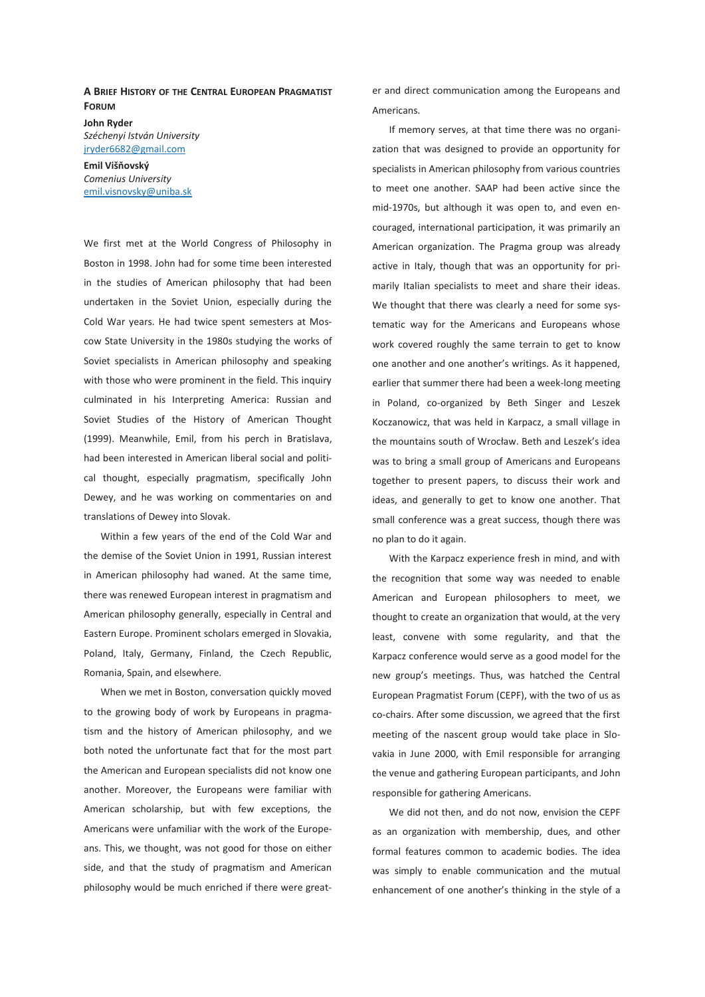## **A BRIEF HISTORY OF THE CENTRAL EUROPEAN PRAGMATIST FORUM**

**John Ryder**  *Széchenyi István University*  jryder6682@gmail.com

**Emil Višňovský**  *Comenius University*  emil.visnovsky@uniba.sk

We first met at the World Congress of Philosophy in Boston in 1998. John had for some time been interested in the studies of American philosophy that had been undertaken in the Soviet Union, especially during the Cold War years. He had twice spent semesters at Moscow State University in the 1980s studying the works of Soviet specialists in American philosophy and speaking with those who were prominent in the field. This inquiry culminated in his Interpreting America: Russian and Soviet Studies of the History of American Thought (1999). Meanwhile, Emil, from his perch in Bratislava, had been interested in American liberal social and political thought, especially pragmatism, specifically John Dewey, and he was working on commentaries on and translations of Dewey into Slovak.

Within a few years of the end of the Cold War and the demise of the Soviet Union in 1991, Russian interest in American philosophy had waned. At the same time, there was renewed European interest in pragmatism and American philosophy generally, especially in Central and Eastern Europe. Prominent scholars emerged in Slovakia, Poland, Italy, Germany, Finland, the Czech Republic, Romania, Spain, and elsewhere.

When we met in Boston, conversation quickly moved to the growing body of work by Europeans in pragmatism and the history of American philosophy, and we both noted the unfortunate fact that for the most part the American and European specialists did not know one another. Moreover, the Europeans were familiar with American scholarship, but with few exceptions, the Americans were unfamiliar with the work of the Europeans. This, we thought, was not good for those on either side, and that the study of pragmatism and American philosophy would be much enriched if there were greater and direct communication among the Europeans and Americans.

If memory serves, at that time there was no organization that was designed to provide an opportunity for specialists in American philosophy from various countries to meet one another. SAAP had been active since the mid-1970s, but although it was open to, and even encouraged, international participation, it was primarily an American organization. The Pragma group was already active in Italy, though that was an opportunity for primarily Italian specialists to meet and share their ideas. We thought that there was clearly a need for some systematic way for the Americans and Europeans whose work covered roughly the same terrain to get to know one another and one another's writings. As it happened, earlier that summer there had been a week-long meeting in Poland, co-organized by Beth Singer and Leszek Koczanowicz, that was held in Karpacz, a small village in the mountains south of Wrocław. Beth and Leszek's idea was to bring a small group of Americans and Europeans together to present papers, to discuss their work and ideas, and generally to get to know one another. That small conference was a great success, though there was no plan to do it again.

With the Karpacz experience fresh in mind, and with the recognition that some way was needed to enable American and European philosophers to meet, we thought to create an organization that would, at the very least, convene with some regularity, and that the Karpacz conference would serve as a good model for the new group's meetings. Thus, was hatched the Central European Pragmatist Forum (CEPF), with the two of us as co-chairs. After some discussion, we agreed that the first meeting of the nascent group would take place in Slovakia in June 2000, with Emil responsible for arranging the venue and gathering European participants, and John responsible for gathering Americans.

We did not then, and do not now, envision the CEPF as an organization with membership, dues, and other formal features common to academic bodies. The idea was simply to enable communication and the mutual enhancement of one another's thinking in the style of a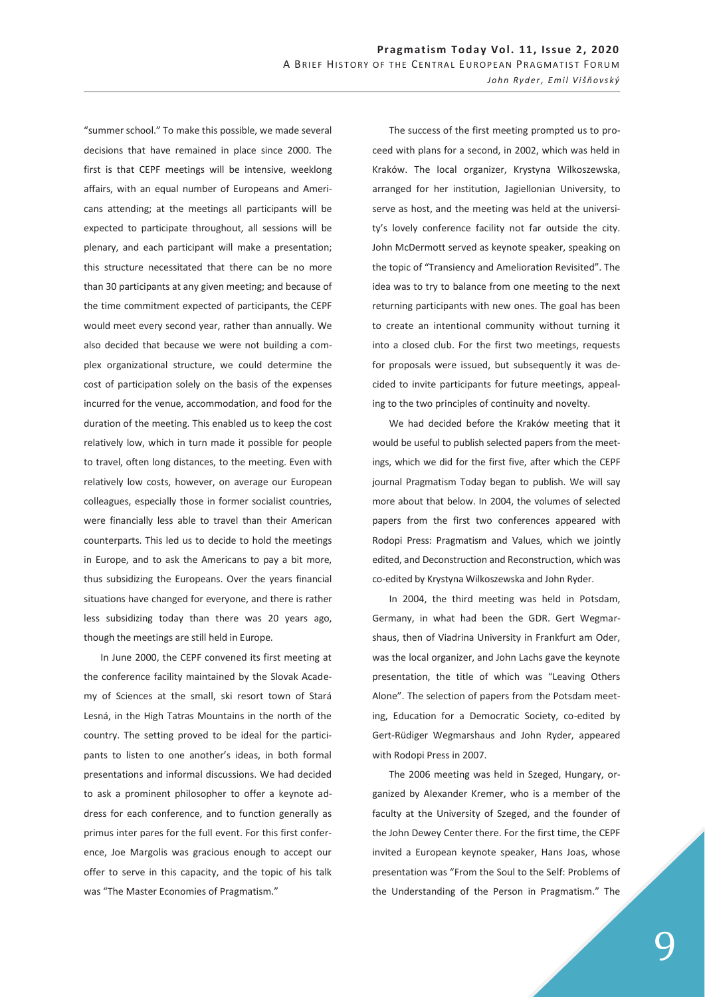"summer school." To make this possible, we made several decisions that have remained in place since 2000. The first is that CEPF meetings will be intensive, weeklong affairs, with an equal number of Europeans and Americans attending; at the meetings all participants will be expected to participate throughout, all sessions will be plenary, and each participant will make a presentation; this structure necessitated that there can be no more than 30 participants at any given meeting; and because of the time commitment expected of participants, the CEPF would meet every second year, rather than annually. We also decided that because we were not building a complex organizational structure, we could determine the cost of participation solely on the basis of the expenses incurred for the venue, accommodation, and food for the duration of the meeting. This enabled us to keep the cost relatively low, which in turn made it possible for people to travel, often long distances, to the meeting. Even with relatively low costs, however, on average our European colleagues, especially those in former socialist countries, were financially less able to travel than their American counterparts. This led us to decide to hold the meetings in Europe, and to ask the Americans to pay a bit more, thus subsidizing the Europeans. Over the years financial situations have changed for everyone, and there is rather less subsidizing today than there was 20 years ago, though the meetings are still held in Europe.

In June 2000, the CEPF convened its first meeting at the conference facility maintained by the Slovak Academy of Sciences at the small, ski resort town of Stará Lesná, in the High Tatras Mountains in the north of the country. The setting proved to be ideal for the participants to listen to one another's ideas, in both formal presentations and informal discussions. We had decided to ask a prominent philosopher to offer a keynote address for each conference, and to function generally as primus inter pares for the full event. For this first conference, Joe Margolis was gracious enough to accept our offer to serve in this capacity, and the topic of his talk was "The Master Economies of Pragmatism."

The success of the first meeting prompted us to proceed with plans for a second, in 2002, which was held in Kraków. The local organizer, Krystyna Wilkoszewska, arranged for her institution, Jagiellonian University, to serve as host, and the meeting was held at the university's lovely conference facility not far outside the city. John McDermott served as keynote speaker, speaking on the topic of "Transiency and Amelioration Revisited". The idea was to try to balance from one meeting to the next returning participants with new ones. The goal has been to create an intentional community without turning it into a closed club. For the first two meetings, requests for proposals were issued, but subsequently it was decided to invite participants for future meetings, appealing to the two principles of continuity and novelty.

We had decided before the Kraków meeting that it would be useful to publish selected papers from the meetings, which we did for the first five, after which the CEPF journal Pragmatism Today began to publish. We will say more about that below. In 2004, the volumes of selected papers from the first two conferences appeared with Rodopi Press: Pragmatism and Values, which we jointly edited, and Deconstruction and Reconstruction, which was co-edited by Krystyna Wilkoszewska and John Ryder.

In 2004, the third meeting was held in Potsdam, Germany, in what had been the GDR. Gert Wegmarshaus, then of Viadrina University in Frankfurt am Oder, was the local organizer, and John Lachs gave the keynote presentation, the title of which was "Leaving Others Alone". The selection of papers from the Potsdam meeting, Education for a Democratic Society, co-edited by Gert-Rüdiger Wegmarshaus and John Ryder, appeared with Rodopi Press in 2007.

The 2006 meeting was held in Szeged, Hungary, organized by Alexander Kremer, who is a member of the faculty at the University of Szeged, and the founder of the John Dewey Center there. For the first time, the CEPF invited a European keynote speaker, Hans Joas, whose presentation was "From the Soul to the Self: Problems of the Understanding of the Person in Pragmatism." The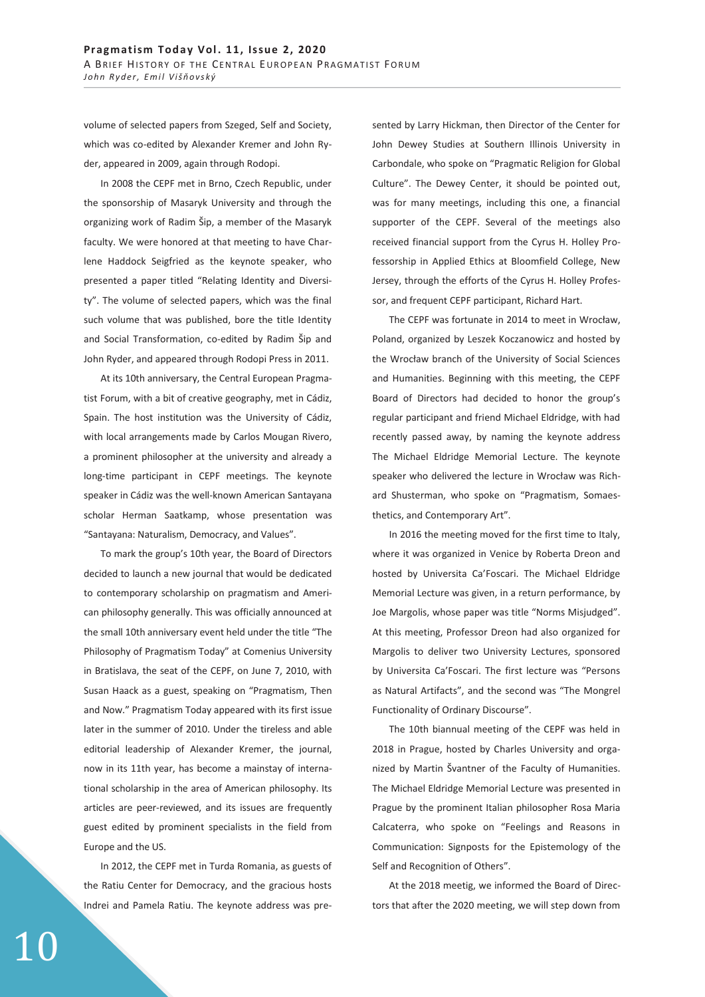volume of selected papers from Szeged, Self and Society, which was co-edited by Alexander Kremer and John Ryder, appeared in 2009, again through Rodopi.

In 2008 the CEPF met in Brno, Czech Republic, under the sponsorship of Masaryk University and through the organizing work of Radim Šip, a member of the Masaryk faculty. We were honored at that meeting to have Charlene Haddock Seigfried as the keynote speaker, who presented a paper titled "Relating Identity and Diversity". The volume of selected papers, which was the final such volume that was published, bore the title Identity and Social Transformation, co-edited by Radim Šip and John Ryder, and appeared through Rodopi Press in 2011.

At its 10th anniversary, the Central European Pragmatist Forum, with a bit of creative geography, met in Cádiz, Spain. The host institution was the University of Cádiz, with local arrangements made by Carlos Mougan Rivero, a prominent philosopher at the university and already a long-time participant in CEPF meetings. The keynote speaker in Cádiz was the well-known American Santayana scholar Herman Saatkamp, whose presentation was "Santayana: Naturalism, Democracy, and Values".

To mark the group's 10th year, the Board of Directors decided to launch a new journal that would be dedicated to contemporary scholarship on pragmatism and American philosophy generally. This was officially announced at the small 10th anniversary event held under the title "The Philosophy of Pragmatism Today" at Comenius University in Bratislava, the seat of the CEPF, on June 7, 2010, with Susan Haack as a guest, speaking on "Pragmatism, Then and Now." Pragmatism Today appeared with its first issue later in the summer of 2010. Under the tireless and able editorial leadership of Alexander Kremer, the journal, now in its 11th year, has become a mainstay of international scholarship in the area of American philosophy. Its articles are peer-reviewed, and its issues are frequently guest edited by prominent specialists in the field from Europe and the US.

In 2012, the CEPF met in Turda Romania, as guests of the Ratiu Center for Democracy, and the gracious hosts Indrei and Pamela Ratiu. The keynote address was pre-

10

sented by Larry Hickman, then Director of the Center for John Dewey Studies at Southern Illinois University in Carbondale, who spoke on "Pragmatic Religion for Global Culture". The Dewey Center, it should be pointed out, was for many meetings, including this one, a financial supporter of the CEPF. Several of the meetings also received financial support from the Cyrus H. Holley Professorship in Applied Ethics at Bloomfield College, New Jersey, through the efforts of the Cyrus H. Holley Professor, and frequent CEPF participant, Richard Hart.

The CEPF was fortunate in 2014 to meet in Wrocław, Poland, organized by Leszek Koczanowicz and hosted by the Wrocław branch of the University of Social Sciences and Humanities. Beginning with this meeting, the CEPF Board of Directors had decided to honor the group's regular participant and friend Michael Eldridge, with had recently passed away, by naming the keynote address The Michael Eldridge Memorial Lecture. The keynote speaker who delivered the lecture in Wrocław was Richard Shusterman, who spoke on "Pragmatism, Somaesthetics, and Contemporary Art".

In 2016 the meeting moved for the first time to Italy, where it was organized in Venice by Roberta Dreon and hosted by Universita Ca'Foscari. The Michael Eldridge Memorial Lecture was given, in a return performance, by Joe Margolis, whose paper was title "Norms Misjudged". At this meeting, Professor Dreon had also organized for Margolis to deliver two University Lectures, sponsored by Universita Ca'Foscari. The first lecture was "Persons as Natural Artifacts", and the second was "The Mongrel Functionality of Ordinary Discourse".

The 10th biannual meeting of the CEPF was held in 2018 in Prague, hosted by Charles University and organized by Martin Švantner of the Faculty of Humanities. The Michael Eldridge Memorial Lecture was presented in Prague by the prominent Italian philosopher Rosa Maria Calcaterra, who spoke on "Feelings and Reasons in Communication: Signposts for the Epistemology of the Self and Recognition of Others".

At the 2018 meetig, we informed the Board of Directors that after the 2020 meeting, we will step down from